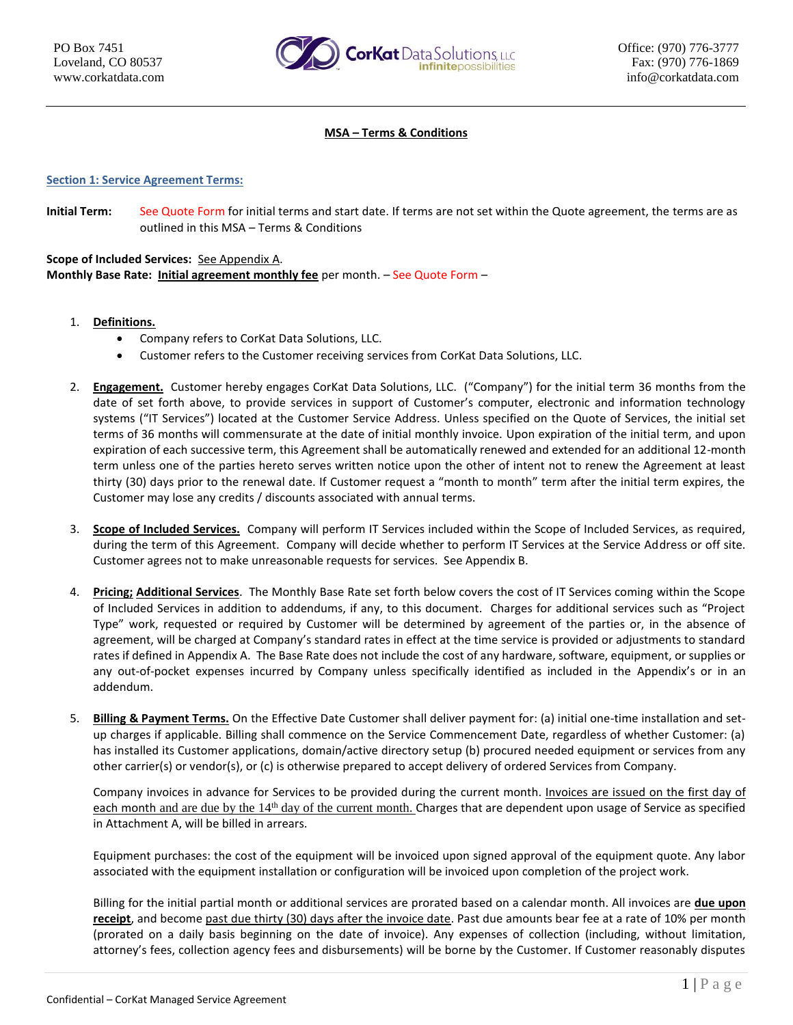

#### **MSA – Terms & Conditions**

#### **Section 1: Service Agreement Terms:**

**Initial Term:** See Quote Form for initial terms and start date. If terms are not set within the Quote agreement, the terms are as outlined in this MSA – Terms & Conditions

**Scope of Included Services:** See Appendix A. **Monthly Base Rate: Initial agreement monthly fee** per month. – See Quote Form –

- 1. **Definitions.**
	- Company refers to CorKat Data Solutions, LLC.
	- Customer refers to the Customer receiving services from CorKat Data Solutions, LLC.
- 2. **Engagement.** Customer hereby engages CorKat Data Solutions, LLC. ("Company") for the initial term 36 months from the date of set forth above, to provide services in support of Customer's computer, electronic and information technology systems ("IT Services") located at the Customer Service Address. Unless specified on the Quote of Services, the initial set terms of 36 months will commensurate at the date of initial monthly invoice. Upon expiration of the initial term, and upon expiration of each successive term, this Agreement shall be automatically renewed and extended for an additional 12-month term unless one of the parties hereto serves written notice upon the other of intent not to renew the Agreement at least thirty (30) days prior to the renewal date. If Customer request a "month to month" term after the initial term expires, the Customer may lose any credits / discounts associated with annual terms.
- 3. **Scope of Included Services.** Company will perform IT Services included within the Scope of Included Services, as required, during the term of this Agreement. Company will decide whether to perform IT Services at the Service Address or off site. Customer agrees not to make unreasonable requests for services. See Appendix B.
- 4. **Pricing; Additional Services**. The Monthly Base Rate set forth below covers the cost of IT Services coming within the Scope of Included Services in addition to addendums, if any, to this document. Charges for additional services such as "Project Type" work, requested or required by Customer will be determined by agreement of the parties or, in the absence of agreement, will be charged at Company's standard rates in effect at the time service is provided or adjustments to standard rates if defined in Appendix A. The Base Rate does not include the cost of any hardware, software, equipment, or supplies or any out-of-pocket expenses incurred by Company unless specifically identified as included in the Appendix's or in an addendum.
- 5. **Billing & Payment Terms.** On the Effective Date Customer shall deliver payment for: (a) initial one-time installation and setup charges if applicable. Billing shall commence on the Service Commencement Date, regardless of whether Customer: (a) has installed its Customer applications, domain/active directory setup (b) procured needed equipment or services from any other carrier(s) or vendor(s), or (c) is otherwise prepared to accept delivery of ordered Services from Company.

Company invoices in advance for Services to be provided during the current month. Invoices are issued on the first day of each month and are due by the 14<sup>th</sup> day of the current month. Charges that are dependent upon usage of Service as specified in Attachment A, will be billed in arrears.

Equipment purchases: the cost of the equipment will be invoiced upon signed approval of the equipment quote. Any labor associated with the equipment installation or configuration will be invoiced upon completion of the project work.

Billing for the initial partial month or additional services are prorated based on a calendar month. All invoices are **due upon receipt**, and become past due thirty (30) days after the invoice date. Past due amounts bear fee at a rate of 10% per month (prorated on a daily basis beginning on the date of invoice). Any expenses of collection (including, without limitation, attorney's fees, collection agency fees and disbursements) will be borne by the Customer. If Customer reasonably disputes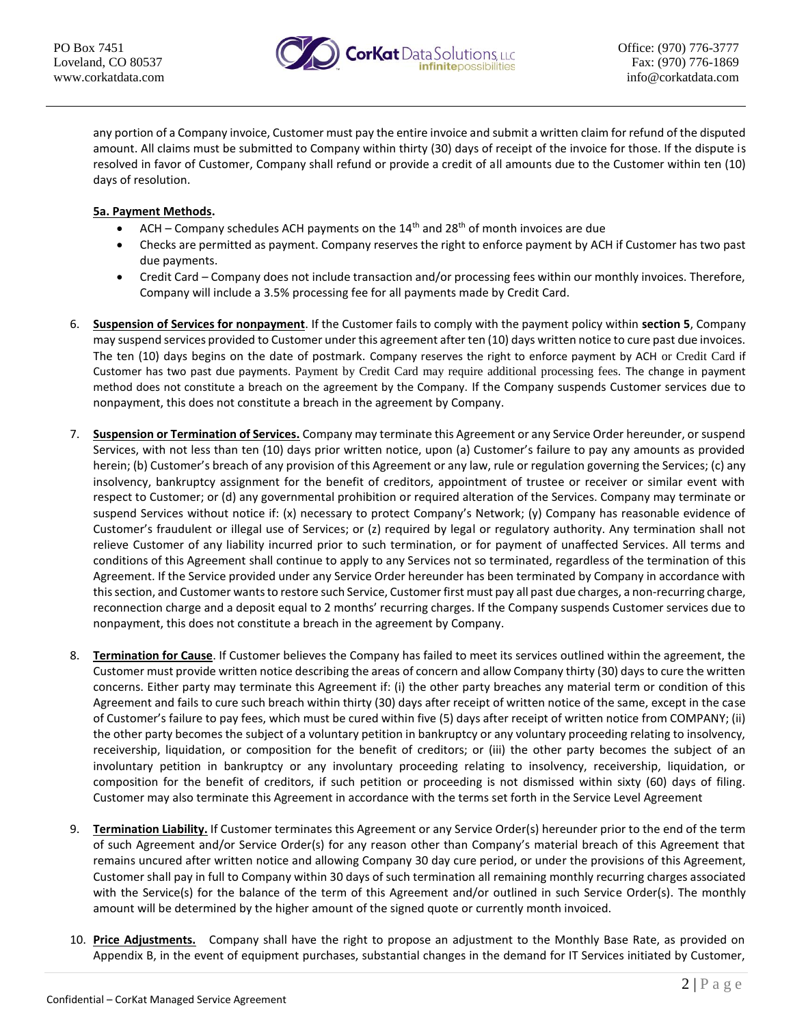

any portion of a Company invoice, Customer must pay the entire invoice and submit a written claim for refund of the disputed amount. All claims must be submitted to Company within thirty (30) days of receipt of the invoice for those. If the dispute is resolved in favor of Customer, Company shall refund or provide a credit of all amounts due to the Customer within ten (10) days of resolution.

# **5a. Payment Methods.**

- ACH Company schedules ACH payments on the  $14<sup>th</sup>$  and  $28<sup>th</sup>$  of month invoices are due
- Checks are permitted as payment. Company reserves the right to enforce payment by ACH if Customer has two past due payments.
- Credit Card Company does not include transaction and/or processing fees within our monthly invoices. Therefore, Company will include a 3.5% processing fee for all payments made by Credit Card.
- 6. **Suspension of Services for nonpayment**. If the Customer fails to comply with the payment policy within **section 5**, Company may suspend services provided to Customer under this agreement after ten (10) days written notice to cure past due invoices. The ten (10) days begins on the date of postmark. Company reserves the right to enforce payment by ACH or Credit Card if Customer has two past due payments. Payment by Credit Card may require additional processing fees. The change in payment method does not constitute a breach on the agreement by the Company. If the Company suspends Customer services due to nonpayment, this does not constitute a breach in the agreement by Company.
- 7. **Suspension or Termination of Services.** Company may terminate this Agreement or any Service Order hereunder, or suspend Services, with not less than ten (10) days prior written notice, upon (a) Customer's failure to pay any amounts as provided herein; (b) Customer's breach of any provision of this Agreement or any law, rule or regulation governing the Services; (c) any insolvency, bankruptcy assignment for the benefit of creditors, appointment of trustee or receiver or similar event with respect to Customer; or (d) any governmental prohibition or required alteration of the Services. Company may terminate or suspend Services without notice if: (x) necessary to protect Company's Network; (y) Company has reasonable evidence of Customer's fraudulent or illegal use of Services; or (z) required by legal or regulatory authority. Any termination shall not relieve Customer of any liability incurred prior to such termination, or for payment of unaffected Services. All terms and conditions of this Agreement shall continue to apply to any Services not so terminated, regardless of the termination of this Agreement. If the Service provided under any Service Order hereunder has been terminated by Company in accordance with this section, and Customer wants to restore such Service, Customer first must pay all past due charges, a non-recurring charge, reconnection charge and a deposit equal to 2 months' recurring charges. If the Company suspends Customer services due to nonpayment, this does not constitute a breach in the agreement by Company.
- 8. **Termination for Cause**. If Customer believes the Company has failed to meet its services outlined within the agreement, the Customer must provide written notice describing the areas of concern and allow Company thirty (30) days to cure the written concerns. Either party may terminate this Agreement if: (i) the other party breaches any material term or condition of this Agreement and fails to cure such breach within thirty (30) days after receipt of written notice of the same, except in the case of Customer's failure to pay fees, which must be cured within five (5) days after receipt of written notice from COMPANY; (ii) the other party becomes the subject of a voluntary petition in bankruptcy or any voluntary proceeding relating to insolvency, receivership, liquidation, or composition for the benefit of creditors; or (iii) the other party becomes the subject of an involuntary petition in bankruptcy or any involuntary proceeding relating to insolvency, receivership, liquidation, or composition for the benefit of creditors, if such petition or proceeding is not dismissed within sixty (60) days of filing. Customer may also terminate this Agreement in accordance with the terms set forth in the Service Level Agreement
- 9. **Termination Liability.** If Customer terminates this Agreement or any Service Order(s) hereunder prior to the end of the term of such Agreement and/or Service Order(s) for any reason other than Company's material breach of this Agreement that remains uncured after written notice and allowing Company 30 day cure period, or under the provisions of this Agreement, Customer shall pay in full to Company within 30 days of such termination all remaining monthly recurring charges associated with the Service(s) for the balance of the term of this Agreement and/or outlined in such Service Order(s). The monthly amount will be determined by the higher amount of the signed quote or currently month invoiced.
- 10. **Price Adjustments.** Company shall have the right to propose an adjustment to the Monthly Base Rate, as provided on Appendix B, in the event of equipment purchases, substantial changes in the demand for IT Services initiated by Customer,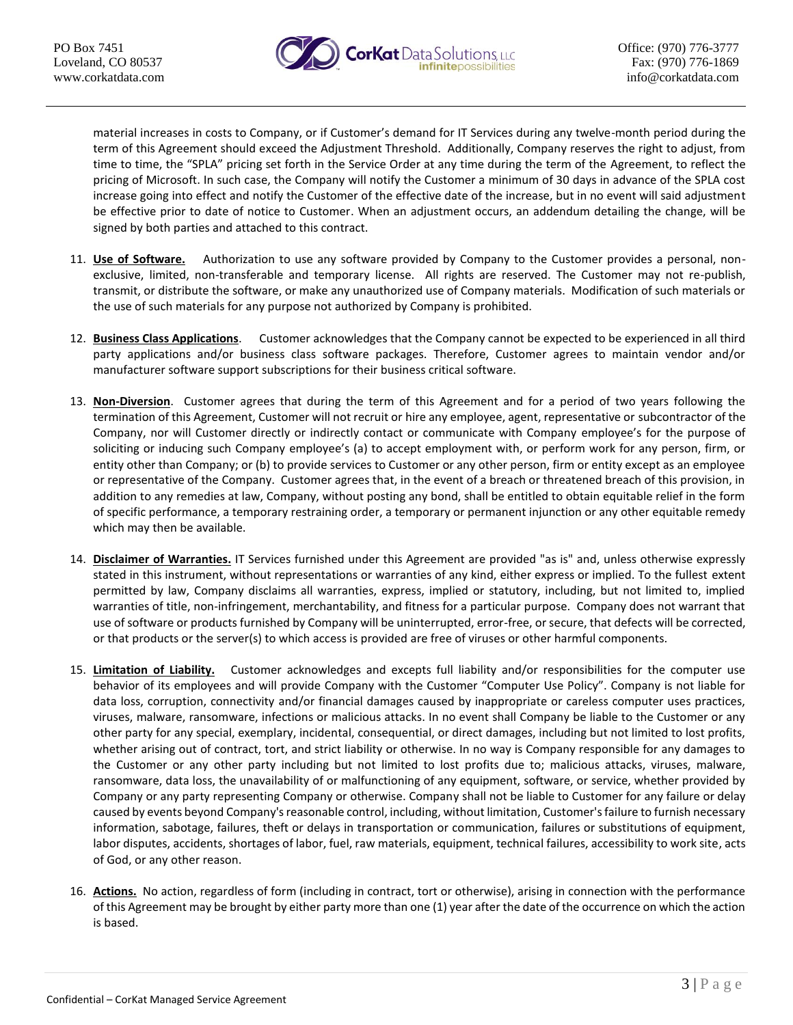

material increases in costs to Company, or if Customer's demand for IT Services during any twelve-month period during the term of this Agreement should exceed the Adjustment Threshold. Additionally, Company reserves the right to adjust, from time to time, the "SPLA" pricing set forth in the Service Order at any time during the term of the Agreement, to reflect the pricing of Microsoft. In such case, the Company will notify the Customer a minimum of 30 days in advance of the SPLA cost increase going into effect and notify the Customer of the effective date of the increase, but in no event will said adjustment be effective prior to date of notice to Customer. When an adjustment occurs, an addendum detailing the change, will be signed by both parties and attached to this contract.

- 11. **Use of Software.** Authorization to use any software provided by Company to the Customer provides a personal, nonexclusive, limited, non-transferable and temporary license. All rights are reserved. The Customer may not re-publish, transmit, or distribute the software, or make any unauthorized use of Company materials. Modification of such materials or the use of such materials for any purpose not authorized by Company is prohibited.
- 12. **Business Class Applications**. Customer acknowledges that the Company cannot be expected to be experienced in all third party applications and/or business class software packages. Therefore, Customer agrees to maintain vendor and/or manufacturer software support subscriptions for their business critical software.
- 13. **Non-Diversion**. Customer agrees that during the term of this Agreement and for a period of two years following the termination of this Agreement, Customer will not recruit or hire any employee, agent, representative or subcontractor of the Company, nor will Customer directly or indirectly contact or communicate with Company employee's for the purpose of soliciting or inducing such Company employee's (a) to accept employment with, or perform work for any person, firm, or entity other than Company; or (b) to provide services to Customer or any other person, firm or entity except as an employee or representative of the Company. Customer agrees that, in the event of a breach or threatened breach of this provision, in addition to any remedies at law, Company, without posting any bond, shall be entitled to obtain equitable relief in the form of specific performance, a temporary restraining order, a temporary or permanent injunction or any other equitable remedy which may then be available.
- 14. **Disclaimer of Warranties.** IT Services furnished under this Agreement are provided "as is" and, unless otherwise expressly stated in this instrument, without representations or warranties of any kind, either express or implied. To the fullest extent permitted by law, Company disclaims all warranties, express, implied or statutory, including, but not limited to, implied warranties of title, non-infringement, merchantability, and fitness for a particular purpose. Company does not warrant that use of software or products furnished by Company will be uninterrupted, error-free, or secure, that defects will be corrected, or that products or the server(s) to which access is provided are free of viruses or other harmful components.
- 15. **Limitation of Liability.** Customer acknowledges and excepts full liability and/or responsibilities for the computer use behavior of its employees and will provide Company with the Customer "Computer Use Policy". Company is not liable for data loss, corruption, connectivity and/or financial damages caused by inappropriate or careless computer uses practices, viruses, malware, ransomware, infections or malicious attacks. In no event shall Company be liable to the Customer or any other party for any special, exemplary, incidental, consequential, or direct damages, including but not limited to lost profits, whether arising out of contract, tort, and strict liability or otherwise. In no way is Company responsible for any damages to the Customer or any other party including but not limited to lost profits due to; malicious attacks, viruses, malware, ransomware, data loss, the unavailability of or malfunctioning of any equipment, software, or service, whether provided by Company or any party representing Company or otherwise. Company shall not be liable to Customer for any failure or delay caused by events beyond Company's reasonable control, including, without limitation, Customer's failure to furnish necessary information, sabotage, failures, theft or delays in transportation or communication, failures or substitutions of equipment, labor disputes, accidents, shortages of labor, fuel, raw materials, equipment, technical failures, accessibility to work site, acts of God, or any other reason.
- 16. **Actions.** No action, regardless of form (including in contract, tort or otherwise), arising in connection with the performance of this Agreement may be brought by either party more than one (1) year after the date of the occurrence on which the action is based.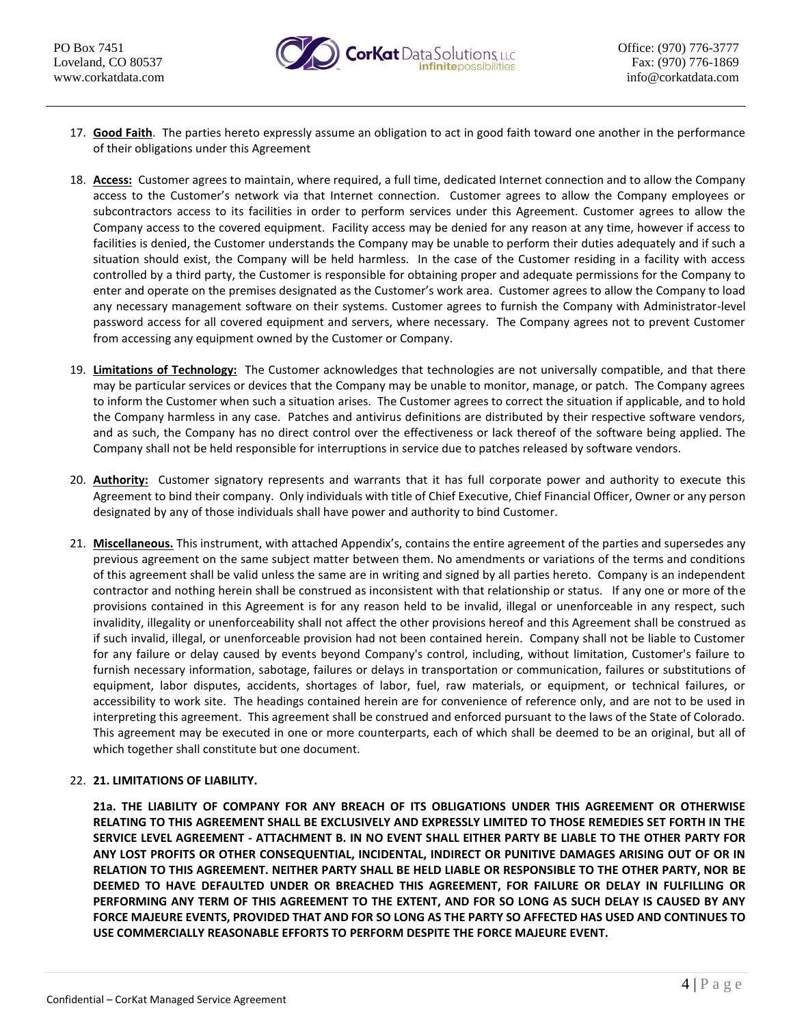

- 17. **Good Faith**. The parties hereto expressly assume an obligation to act in good faith toward one another in the performance of their obligations under this Agreement
- 18. **Access:** Customer agrees to maintain, where required, a full time, dedicated Internet connection and to allow the Company access to the Customer's network via that Internet connection. Customer agrees to allow the Company employees or subcontractors access to its facilities in order to perform services under this Agreement. Customer agrees to allow the Company access to the covered equipment. Facility access may be denied for any reason at any time, however if access to facilities is denied, the Customer understands the Company may be unable to perform their duties adequately and if such a situation should exist, the Company will be held harmless. In the case of the Customer residing in a facility with access controlled by a third party, the Customer is responsible for obtaining proper and adequate permissions for the Company to enter and operate on the premises designated as the Customer's work area. Customer agrees to allow the Company to load any necessary management software on their systems. Customer agrees to furnish the Company with Administrator-level password access for all covered equipment and servers, where necessary. The Company agrees not to prevent Customer from accessing any equipment owned by the Customer or Company.
- 19. **Limitations of Technology:** The Customer acknowledges that technologies are not universally compatible, and that there may be particular services or devices that the Company may be unable to monitor, manage, or patch. The Company agrees to inform the Customer when such a situation arises. The Customer agrees to correct the situation if applicable, and to hold the Company harmless in any case. Patches and antivirus definitions are distributed by their respective software vendors, and as such, the Company has no direct control over the effectiveness or lack thereof of the software being applied. The Company shall not be held responsible for interruptions in service due to patches released by software vendors.
- 20. **Authority:** Customer signatory represents and warrants that it has full corporate power and authority to execute this Agreement to bind their company. Only individuals with title of Chief Executive, Chief Financial Officer, Owner or any person designated by any of those individuals shall have power and authority to bind Customer.
- 21. **Miscellaneous.** This instrument, with attached Appendix's, contains the entire agreement of the parties and supersedes any previous agreement on the same subject matter between them. No amendments or variations of the terms and conditions of this agreement shall be valid unless the same are in writing and signed by all parties hereto. Company is an independent contractor and nothing herein shall be construed as inconsistent with that relationship or status. If any one or more of the provisions contained in this Agreement is for any reason held to be invalid, illegal or unenforceable in any respect, such invalidity, illegality or unenforceability shall not affect the other provisions hereof and this Agreement shall be construed as if such invalid, illegal, or unenforceable provision had not been contained herein. Company shall not be liable to Customer for any failure or delay caused by events beyond Company's control, including, without limitation, Customer's failure to furnish necessary information, sabotage, failures or delays in transportation or communication, failures or substitutions of equipment, labor disputes, accidents, shortages of labor, fuel, raw materials, or equipment, or technical failures, or accessibility to work site. The headings contained herein are for convenience of reference only, and are not to be used in interpreting this agreement. This agreement shall be construed and enforced pursuant to the laws of the State of Colorado. This agreement may be executed in one or more counterparts, each of which shall be deemed to be an original, but all of which together shall constitute but one document.

# 22. **21. LIMITATIONS OF LIABILITY.**

**21a. THE LIABILITY OF COMPANY FOR ANY BREACH OF ITS OBLIGATIONS UNDER THIS AGREEMENT OR OTHERWISE RELATING TO THIS AGREEMENT SHALL BE EXCLUSIVELY AND EXPRESSLY LIMITED TO THOSE REMEDIES SET FORTH IN THE SERVICE LEVEL AGREEMENT - ATTACHMENT B. IN NO EVENT SHALL EITHER PARTY BE LIABLE TO THE OTHER PARTY FOR ANY LOST PROFITS OR OTHER CONSEQUENTIAL, INCIDENTAL, INDIRECT OR PUNITIVE DAMAGES ARISING OUT OF OR IN RELATION TO THIS AGREEMENT. NEITHER PARTY SHALL BE HELD LIABLE OR RESPONSIBLE TO THE OTHER PARTY, NOR BE DEEMED TO HAVE DEFAULTED UNDER OR BREACHED THIS AGREEMENT, FOR FAILURE OR DELAY IN FULFILLING OR PERFORMING ANY TERM OF THIS AGREEMENT TO THE EXTENT, AND FOR SO LONG AS SUCH DELAY IS CAUSED BY ANY FORCE MAJEURE EVENTS, PROVIDED THAT AND FOR SO LONG AS THE PARTY SO AFFECTED HAS USED AND CONTINUES TO USE COMMERCIALLY REASONABLE EFFORTS TO PERFORM DESPITE THE FORCE MAJEURE EVENT.**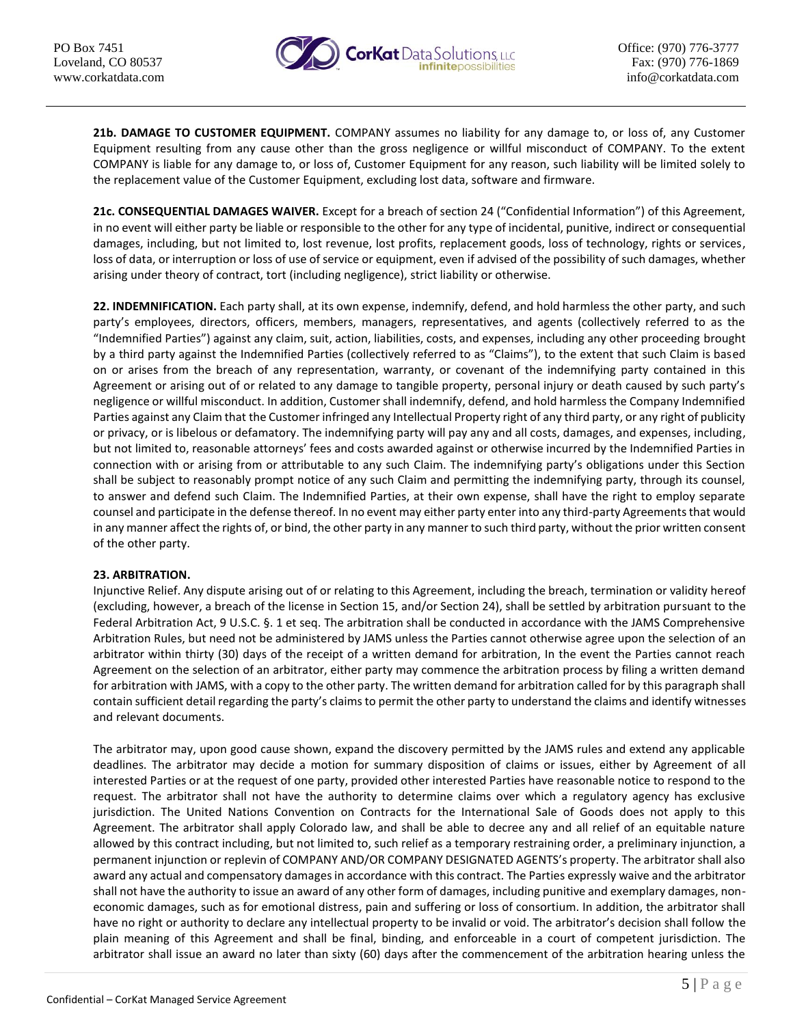

**21b. DAMAGE TO CUSTOMER EQUIPMENT.** COMPANY assumes no liability for any damage to, or loss of, any Customer Equipment resulting from any cause other than the gross negligence or willful misconduct of COMPANY. To the extent COMPANY is liable for any damage to, or loss of, Customer Equipment for any reason, such liability will be limited solely to the replacement value of the Customer Equipment, excluding lost data, software and firmware.

**21c. CONSEQUENTIAL DAMAGES WAIVER.** Except for a breach of section 24 ("Confidential Information") of this Agreement, in no event will either party be liable or responsible to the other for any type of incidental, punitive, indirect or consequential damages, including, but not limited to, lost revenue, lost profits, replacement goods, loss of technology, rights or services, loss of data, or interruption or loss of use of service or equipment, even if advised of the possibility of such damages, whether arising under theory of contract, tort (including negligence), strict liability or otherwise.

**22. INDEMNIFICATION.** Each party shall, at its own expense, indemnify, defend, and hold harmless the other party, and such party's employees, directors, officers, members, managers, representatives, and agents (collectively referred to as the "Indemnified Parties") against any claim, suit, action, liabilities, costs, and expenses, including any other proceeding brought by a third party against the Indemnified Parties (collectively referred to as "Claims"), to the extent that such Claim is based on or arises from the breach of any representation, warranty, or covenant of the indemnifying party contained in this Agreement or arising out of or related to any damage to tangible property, personal injury or death caused by such party's negligence or willful misconduct. In addition, Customer shall indemnify, defend, and hold harmless the Company Indemnified Parties against any Claim that the Customer infringed any Intellectual Property right of any third party, or any right of publicity or privacy, or is libelous or defamatory. The indemnifying party will pay any and all costs, damages, and expenses, including, but not limited to, reasonable attorneys' fees and costs awarded against or otherwise incurred by the Indemnified Parties in connection with or arising from or attributable to any such Claim. The indemnifying party's obligations under this Section shall be subject to reasonably prompt notice of any such Claim and permitting the indemnifying party, through its counsel, to answer and defend such Claim. The Indemnified Parties, at their own expense, shall have the right to employ separate counsel and participate in the defense thereof. In no event may either party enter into any third-party Agreements that would in any manner affect the rights of, or bind, the other party in any manner to such third party, without the prior written consent of the other party.

### **23. ARBITRATION.**

Injunctive Relief. Any dispute arising out of or relating to this Agreement, including the breach, termination or validity hereof (excluding, however, a breach of the license in Section 15, and/or Section 24), shall be settled by arbitration pursuant to the Federal Arbitration Act, 9 U.S.C. §. 1 et seq. The arbitration shall be conducted in accordance with the JAMS Comprehensive Arbitration Rules, but need not be administered by JAMS unless the Parties cannot otherwise agree upon the selection of an arbitrator within thirty (30) days of the receipt of a written demand for arbitration, In the event the Parties cannot reach Agreement on the selection of an arbitrator, either party may commence the arbitration process by filing a written demand for arbitration with JAMS, with a copy to the other party. The written demand for arbitration called for by this paragraph shall contain sufficient detail regarding the party's claims to permit the other party to understand the claims and identify witnesses and relevant documents.

The arbitrator may, upon good cause shown, expand the discovery permitted by the JAMS rules and extend any applicable deadlines. The arbitrator may decide a motion for summary disposition of claims or issues, either by Agreement of all interested Parties or at the request of one party, provided other interested Parties have reasonable notice to respond to the request. The arbitrator shall not have the authority to determine claims over which a regulatory agency has exclusive jurisdiction. The United Nations Convention on Contracts for the International Sale of Goods does not apply to this Agreement. The arbitrator shall apply Colorado law, and shall be able to decree any and all relief of an equitable nature allowed by this contract including, but not limited to, such relief as a temporary restraining order, a preliminary injunction, a permanent injunction or replevin of COMPANY AND/OR COMPANY DESIGNATED AGENTS's property. The arbitrator shall also award any actual and compensatory damages in accordance with this contract. The Parties expressly waive and the arbitrator shall not have the authority to issue an award of any other form of damages, including punitive and exemplary damages, noneconomic damages, such as for emotional distress, pain and suffering or loss of consortium. In addition, the arbitrator shall have no right or authority to declare any intellectual property to be invalid or void. The arbitrator's decision shall follow the plain meaning of this Agreement and shall be final, binding, and enforceable in a court of competent jurisdiction. The arbitrator shall issue an award no later than sixty (60) days after the commencement of the arbitration hearing unless the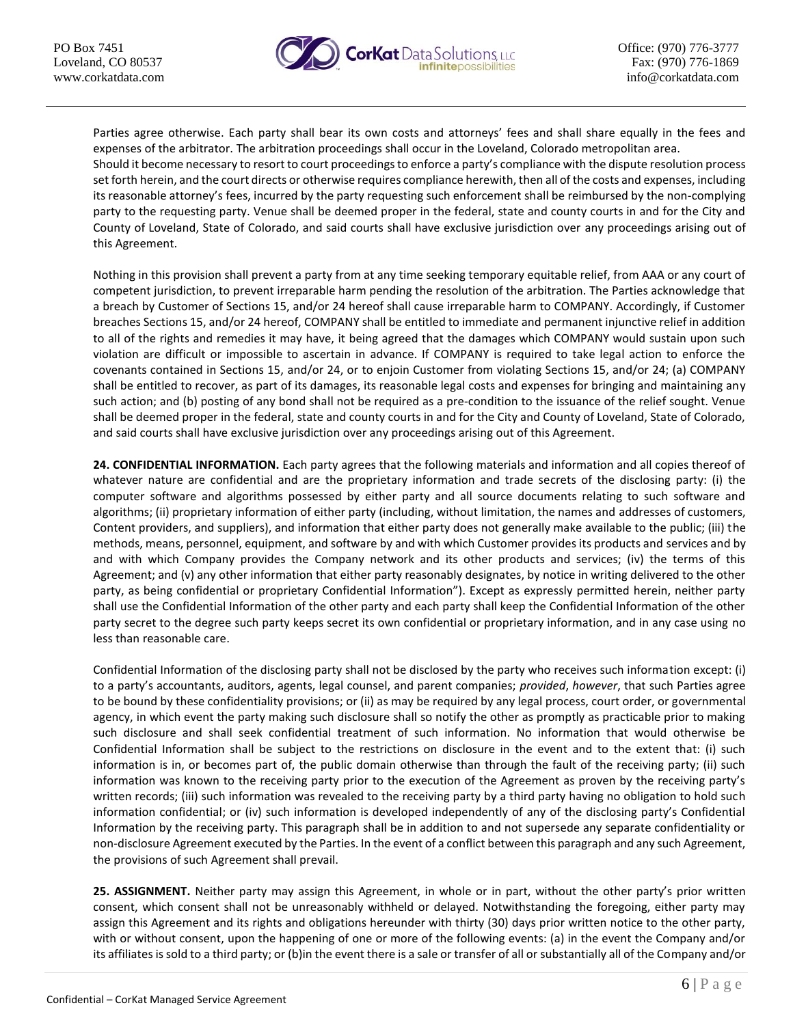

Parties agree otherwise. Each party shall bear its own costs and attorneys' fees and shall share equally in the fees and expenses of the arbitrator. The arbitration proceedings shall occur in the Loveland, Colorado metropolitan area. Should it become necessary to resort to court proceedings to enforce a party's compliance with the dispute resolution process set forth herein, and the court directs or otherwise requires compliance herewith, then all of the costs and expenses, including its reasonable attorney's fees, incurred by the party requesting such enforcement shall be reimbursed by the non-complying party to the requesting party. Venue shall be deemed proper in the federal, state and county courts in and for the City and County of Loveland, State of Colorado, and said courts shall have exclusive jurisdiction over any proceedings arising out of this Agreement.

Nothing in this provision shall prevent a party from at any time seeking temporary equitable relief, from AAA or any court of competent jurisdiction, to prevent irreparable harm pending the resolution of the arbitration. The Parties acknowledge that a breach by Customer of Sections 15, and/or 24 hereof shall cause irreparable harm to COMPANY. Accordingly, if Customer breaches Sections 15, and/or 24 hereof, COMPANY shall be entitled to immediate and permanent injunctive relief in addition to all of the rights and remedies it may have, it being agreed that the damages which COMPANY would sustain upon such violation are difficult or impossible to ascertain in advance. If COMPANY is required to take legal action to enforce the covenants contained in Sections 15, and/or 24, or to enjoin Customer from violating Sections 15, and/or 24; (a) COMPANY shall be entitled to recover, as part of its damages, its reasonable legal costs and expenses for bringing and maintaining any such action; and (b) posting of any bond shall not be required as a pre-condition to the issuance of the relief sought. Venue shall be deemed proper in the federal, state and county courts in and for the City and County of Loveland, State of Colorado, and said courts shall have exclusive jurisdiction over any proceedings arising out of this Agreement.

**24. CONFIDENTIAL INFORMATION.** Each party agrees that the following materials and information and all copies thereof of whatever nature are confidential and are the proprietary information and trade secrets of the disclosing party: (i) the computer software and algorithms possessed by either party and all source documents relating to such software and algorithms; (ii) proprietary information of either party (including, without limitation, the names and addresses of customers, Content providers, and suppliers), and information that either party does not generally make available to the public; (iii) the methods, means, personnel, equipment, and software by and with which Customer provides its products and services and by and with which Company provides the Company network and its other products and services; (iv) the terms of this Agreement; and (v) any other information that either party reasonably designates, by notice in writing delivered to the other party, as being confidential or proprietary Confidential Information"). Except as expressly permitted herein, neither party shall use the Confidential Information of the other party and each party shall keep the Confidential Information of the other party secret to the degree such party keeps secret its own confidential or proprietary information, and in any case using no less than reasonable care.

Confidential Information of the disclosing party shall not be disclosed by the party who receives such information except: (i) to a party's accountants, auditors, agents, legal counsel, and parent companies; *provided*, *however*, that such Parties agree to be bound by these confidentiality provisions; or (ii) as may be required by any legal process, court order, or governmental agency, in which event the party making such disclosure shall so notify the other as promptly as practicable prior to making such disclosure and shall seek confidential treatment of such information. No information that would otherwise be Confidential Information shall be subject to the restrictions on disclosure in the event and to the extent that: (i) such information is in, or becomes part of, the public domain otherwise than through the fault of the receiving party; (ii) such information was known to the receiving party prior to the execution of the Agreement as proven by the receiving party's written records; (iii) such information was revealed to the receiving party by a third party having no obligation to hold such information confidential; or (iv) such information is developed independently of any of the disclosing party's Confidential Information by the receiving party. This paragraph shall be in addition to and not supersede any separate confidentiality or non-disclosure Agreement executed by the Parties. In the event of a conflict between this paragraph and any such Agreement, the provisions of such Agreement shall prevail.

**25. ASSIGNMENT.** Neither party may assign this Agreement, in whole or in part, without the other party's prior written consent, which consent shall not be unreasonably withheld or delayed. Notwithstanding the foregoing, either party may assign this Agreement and its rights and obligations hereunder with thirty (30) days prior written notice to the other party, with or without consent, upon the happening of one or more of the following events: (a) in the event the Company and/or its affiliates is sold to a third party; or (b)in the event there is a sale or transfer of all or substantially all of the Company and/or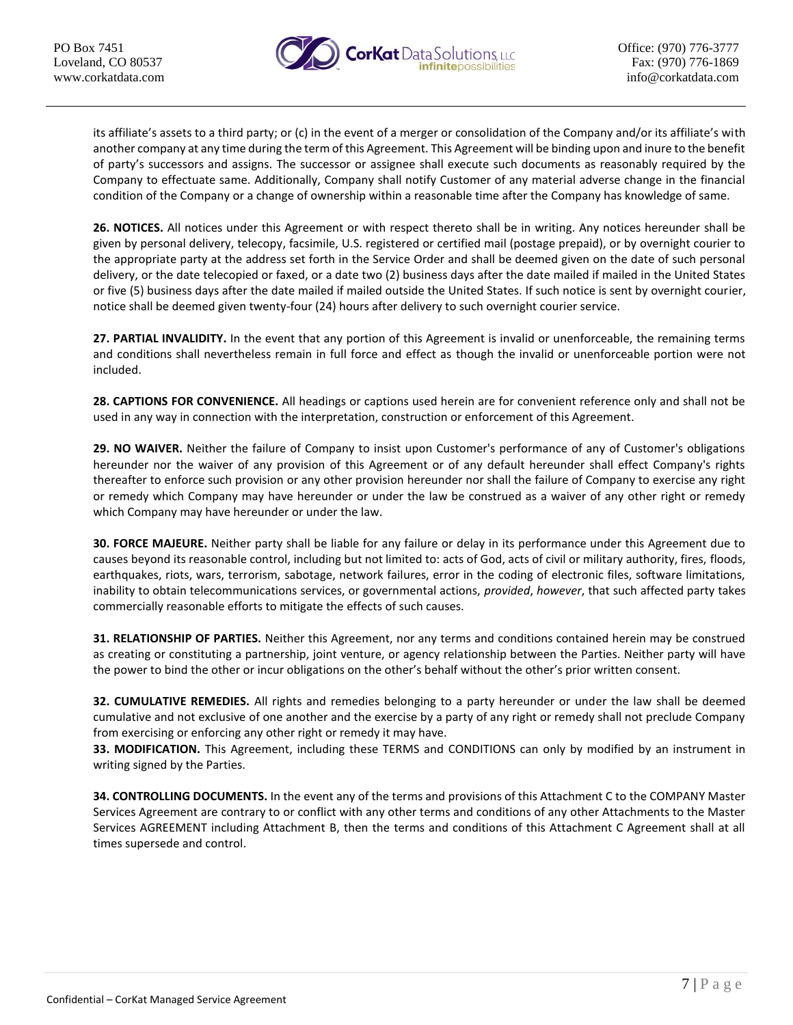

its affiliate's assets to a third party; or (c) in the event of a merger or consolidation of the Company and/or its affiliate's with another company at any time during the term of this Agreement. This Agreement will be binding upon and inure to the benefit of party's successors and assigns. The successor or assignee shall execute such documents as reasonably required by the Company to effectuate same. Additionally, Company shall notify Customer of any material adverse change in the financial condition of the Company or a change of ownership within a reasonable time after the Company has knowledge of same.

**26. NOTICES.** All notices under this Agreement or with respect thereto shall be in writing. Any notices hereunder shall be given by personal delivery, telecopy, facsimile, U.S. registered or certified mail (postage prepaid), or by overnight courier to the appropriate party at the address set forth in the Service Order and shall be deemed given on the date of such personal delivery, or the date telecopied or faxed, or a date two (2) business days after the date mailed if mailed in the United States or five (5) business days after the date mailed if mailed outside the United States. If such notice is sent by overnight courier, notice shall be deemed given twenty-four (24) hours after delivery to such overnight courier service.

**27. PARTIAL INVALIDITY.** In the event that any portion of this Agreement is invalid or unenforceable, the remaining terms and conditions shall nevertheless remain in full force and effect as though the invalid or unenforceable portion were not included.

**28. CAPTIONS FOR CONVENIENCE.** All headings or captions used herein are for convenient reference only and shall not be used in any way in connection with the interpretation, construction or enforcement of this Agreement.

**29. NO WAIVER.** Neither the failure of Company to insist upon Customer's performance of any of Customer's obligations hereunder nor the waiver of any provision of this Agreement or of any default hereunder shall effect Company's rights thereafter to enforce such provision or any other provision hereunder nor shall the failure of Company to exercise any right or remedy which Company may have hereunder or under the law be construed as a waiver of any other right or remedy which Company may have hereunder or under the law.

**30. FORCE MAJEURE.** Neither party shall be liable for any failure or delay in its performance under this Agreement due to causes beyond its reasonable control, including but not limited to: acts of God, acts of civil or military authority, fires, floods, earthquakes, riots, wars, terrorism, sabotage, network failures, error in the coding of electronic files, software limitations, inability to obtain telecommunications services, or governmental actions, *provided*, *however*, that such affected party takes commercially reasonable efforts to mitigate the effects of such causes.

**31. RELATIONSHIP OF PARTIES.** Neither this Agreement, nor any terms and conditions contained herein may be construed as creating or constituting a partnership, joint venture, or agency relationship between the Parties. Neither party will have the power to bind the other or incur obligations on the other's behalf without the other's prior written consent.

**32. CUMULATIVE REMEDIES.** All rights and remedies belonging to a party hereunder or under the law shall be deemed cumulative and not exclusive of one another and the exercise by a party of any right or remedy shall not preclude Company from exercising or enforcing any other right or remedy it may have.

**33. MODIFICATION.** This Agreement, including these TERMS and CONDITIONS can only by modified by an instrument in writing signed by the Parties.

**34. CONTROLLING DOCUMENTS.** In the event any of the terms and provisions of this Attachment C to the COMPANY Master Services Agreement are contrary to or conflict with any other terms and conditions of any other Attachments to the Master Services AGREEMENT including Attachment B, then the terms and conditions of this Attachment C Agreement shall at all times supersede and control.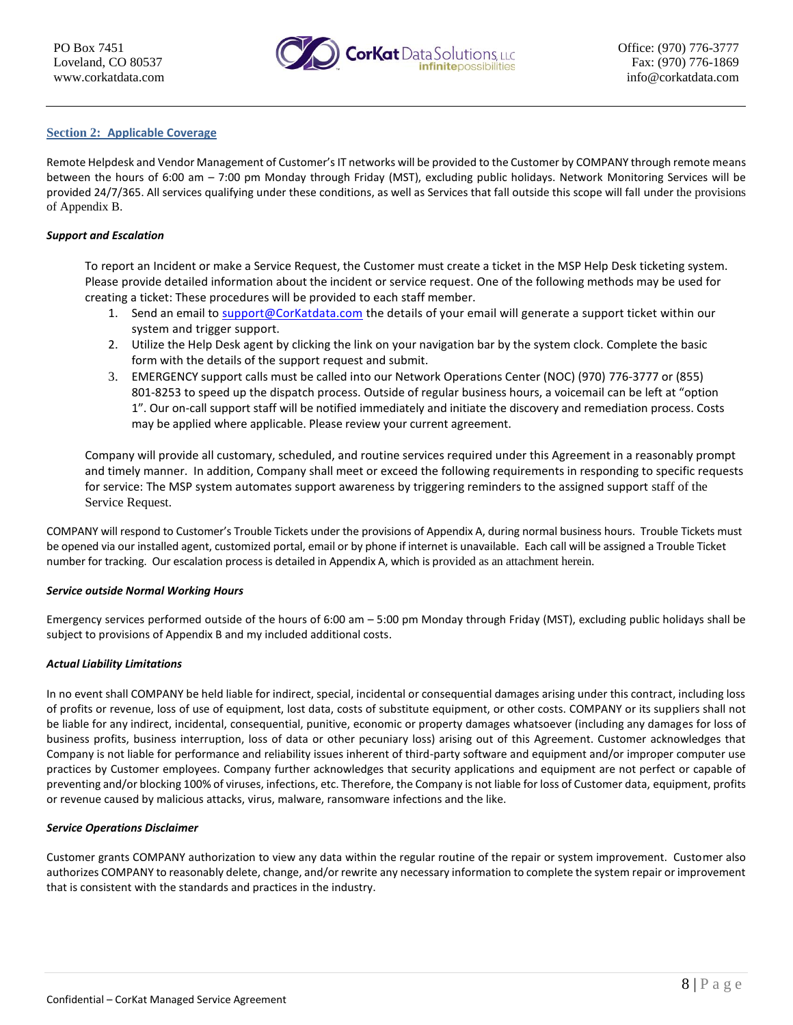

#### **Section 2: Applicable Coverage**

Remote Helpdesk and Vendor Management of Customer's IT networks will be provided to the Customer by COMPANY through remote means between the hours of 6:00 am – 7:00 pm Monday through Friday (MST), excluding public holidays. Network Monitoring Services will be provided 24/7/365. All services qualifying under these conditions, as well as Services that fall outside this scope will fall under the provisions of Appendix B.

#### *Support and Escalation*

To report an Incident or make a Service Request, the Customer must create a ticket in the MSP Help Desk ticketing system. Please provide detailed information about the incident or service request. One of the following methods may be used for creating a ticket: These procedures will be provided to each staff member.

- 1. Send an email to [support@CorKatdata.com](mailto:support@CorKatdata.com) the details of your email will generate a support ticket within our system and trigger support.
- 2. Utilize the Help Desk agent by clicking the link on your navigation bar by the system clock. Complete the basic form with the details of the support request and submit.
- 3. EMERGENCY support calls must be called into our Network Operations Center (NOC) (970) 776-3777 or (855) 801-8253 to speed up the dispatch process. Outside of regular business hours, a voicemail can be left at "option 1". Our on-call support staff will be notified immediately and initiate the discovery and remediation process. Costs may be applied where applicable. Please review your current agreement.

Company will provide all customary, scheduled, and routine services required under this Agreement in a reasonably prompt and timely manner. In addition, Company shall meet or exceed the following requirements in responding to specific requests for service: The MSP system automates support awareness by triggering reminders to the assigned support staff of the Service Request.

COMPANY will respond to Customer's Trouble Tickets under the provisions of Appendix A, during normal business hours. Trouble Tickets must be opened via our installed agent, customized portal, email or by phone if internet is unavailable. Each call will be assigned a Trouble Ticket number for tracking. Our escalation process is detailed in Appendix A, which is provided as an attachment herein.

#### *Service outside Normal Working Hours*

Emergency services performed outside of the hours of 6:00 am – 5:00 pm Monday through Friday (MST), excluding public holidays shall be subject to provisions of Appendix B and my included additional costs.

#### *Actual Liability Limitations*

In no event shall COMPANY be held liable for indirect, special, incidental or consequential damages arising under this contract, including loss of profits or revenue, loss of use of equipment, lost data, costs of substitute equipment, or other costs. COMPANY or its suppliers shall not be liable for any indirect, incidental, consequential, punitive, economic or property damages whatsoever (including any damages for loss of business profits, business interruption, loss of data or other pecuniary loss) arising out of this Agreement. Customer acknowledges that Company is not liable for performance and reliability issues inherent of third-party software and equipment and/or improper computer use practices by Customer employees. Company further acknowledges that security applications and equipment are not perfect or capable of preventing and/or blocking 100% of viruses, infections, etc. Therefore, the Company is not liable for loss of Customer data, equipment, profits or revenue caused by malicious attacks, virus, malware, ransomware infections and the like.

#### *Service Operations Disclaimer*

Customer grants COMPANY authorization to view any data within the regular routine of the repair or system improvement. Customer also authorizes COMPANY to reasonably delete, change, and/or rewrite any necessary information to complete the system repair or improvement that is consistent with the standards and practices in the industry.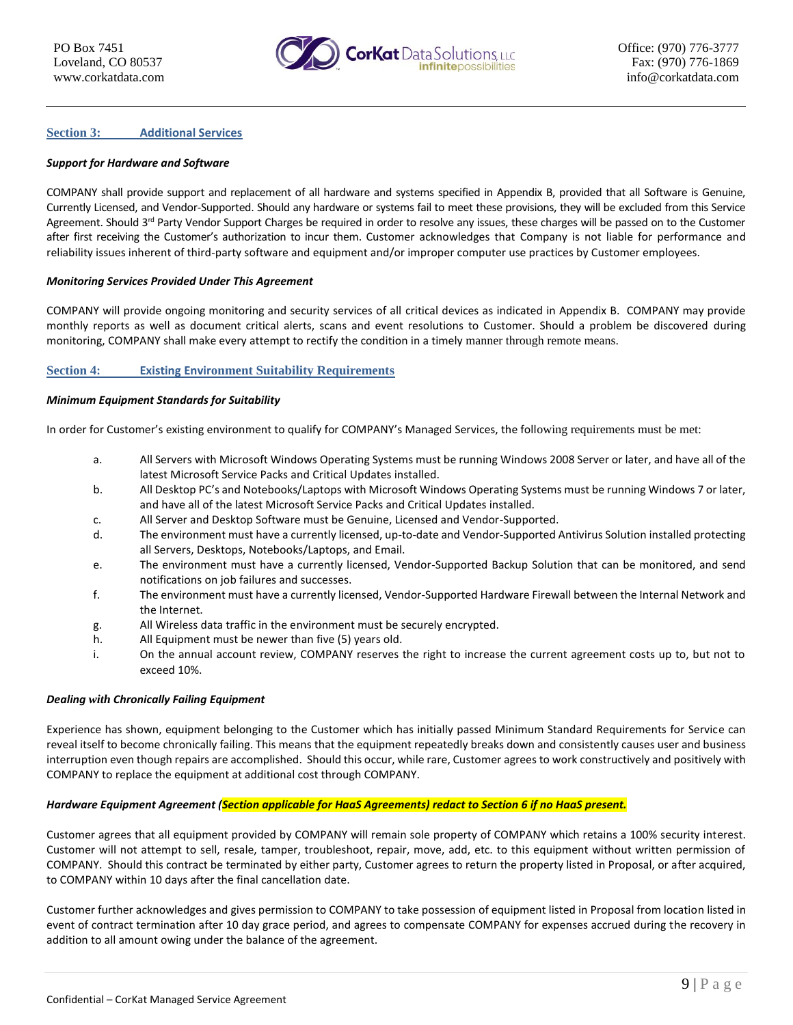

#### **Section 3: Additional Services**

#### *Support for Hardware and Software*

COMPANY shall provide support and replacement of all hardware and systems specified in Appendix B, provided that all Software is Genuine, Currently Licensed, and Vendor-Supported. Should any hardware or systems fail to meet these provisions, they will be excluded from this Service Agreement. Should  $3^{rd}$  Party Vendor Support Charges be required in order to resolve any issues, these charges will be passed on to the Customer after first receiving the Customer's authorization to incur them. Customer acknowledges that Company is not liable for performance and reliability issues inherent of third-party software and equipment and/or improper computer use practices by Customer employees.

#### *Monitoring Services Provided Under This Agreement*

COMPANY will provide ongoing monitoring and security services of all critical devices as indicated in Appendix B. COMPANY may provide monthly reports as well as document critical alerts, scans and event resolutions to Customer. Should a problem be discovered during monitoring, COMPANY shall make every attempt to rectify the condition in a timely manner through remote means.

#### **Section 4: Existing Environment Suitability Requirements**

#### *Minimum Equipment Standards for Suitability*

In order for Customer's existing environment to qualify for COMPANY's Managed Services, the following requirements must be met:

- a. All Servers with Microsoft Windows Operating Systems must be running Windows 2008 Server or later, and have all of the latest Microsoft Service Packs and Critical Updates installed.
- b. All Desktop PC's and Notebooks/Laptops with Microsoft Windows Operating Systems must be running Windows 7 or later, and have all of the latest Microsoft Service Packs and Critical Updates installed.
- c. All Server and Desktop Software must be Genuine, Licensed and Vendor-Supported.
- d. The environment must have a currently licensed, up-to-date and Vendor-Supported Antivirus Solution installed protecting all Servers, Desktops, Notebooks/Laptops, and Email.
- e. The environment must have a currently licensed, Vendor-Supported Backup Solution that can be monitored, and send notifications on job failures and successes.
- f. The environment must have a currently licensed, Vendor-Supported Hardware Firewall between the Internal Network and the Internet.
- g. All Wireless data traffic in the environment must be securely encrypted.
- h. All Equipment must be newer than five (5) years old.
- i. On the annual account review, COMPANY reserves the right to increase the current agreement costs up to, but not to exceed 10%.

#### *Dealing with Chronically Failing Equipment*

Experience has shown, equipment belonging to the Customer which has initially passed Minimum Standard Requirements for Service can reveal itself to become chronically failing. This means that the equipment repeatedly breaks down and consistently causes user and business interruption even though repairs are accomplished. Should this occur, while rare, Customer agrees to work constructively and positively with COMPANY to replace the equipment at additional cost through COMPANY.

#### *Hardware Equipment Agreement (Section applicable for HaaS Agreements) redact to Section 6 if no HaaS present.*

Customer agrees that all equipment provided by COMPANY will remain sole property of COMPANY which retains a 100% security interest. Customer will not attempt to sell, resale, tamper, troubleshoot, repair, move, add, etc. to this equipment without written permission of COMPANY. Should this contract be terminated by either party, Customer agrees to return the property listed in Proposal, or after acquired, to COMPANY within 10 days after the final cancellation date.

Customer further acknowledges and gives permission to COMPANY to take possession of equipment listed in Proposal from location listed in event of contract termination after 10 day grace period, and agrees to compensate COMPANY for expenses accrued during the recovery in addition to all amount owing under the balance of the agreement.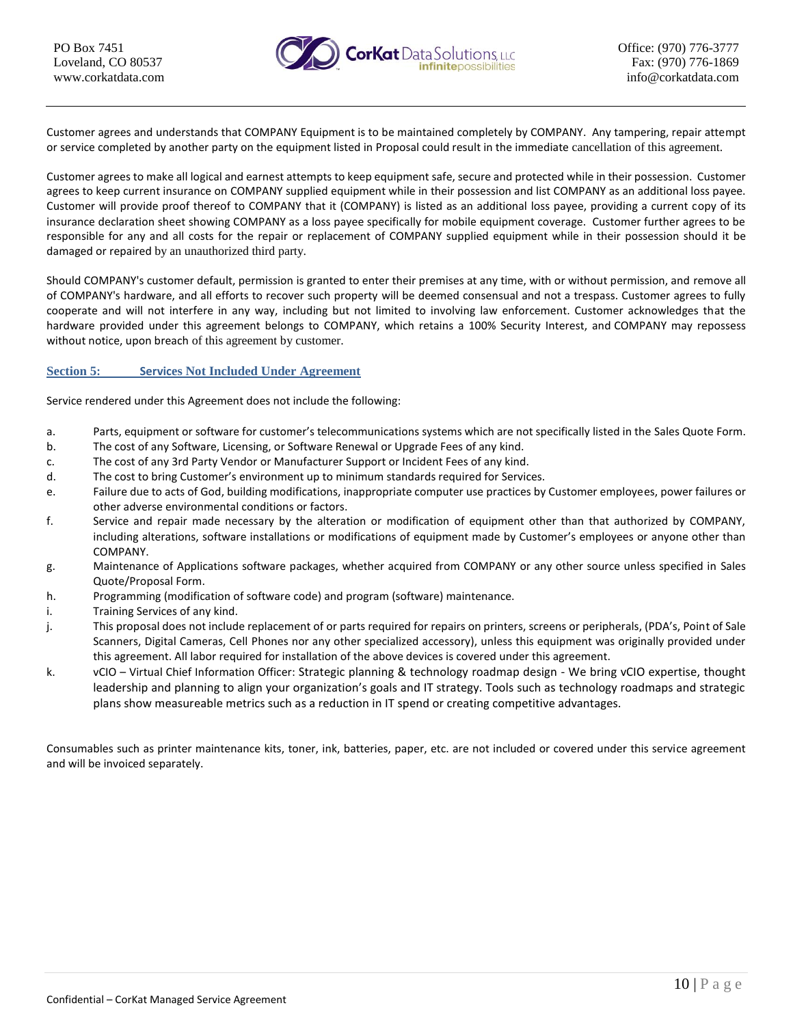

Customer agrees and understands that COMPANY Equipment is to be maintained completely by COMPANY. Any tampering, repair attempt or service completed by another party on the equipment listed in Proposal could result in the immediate cancellation of this agreement.

Customer agrees to make all logical and earnest attempts to keep equipment safe, secure and protected while in their possession. Customer agrees to keep current insurance on COMPANY supplied equipment while in their possession and list COMPANY as an additional loss payee. Customer will provide proof thereof to COMPANY that it (COMPANY) is listed as an additional loss payee, providing a current copy of its insurance declaration sheet showing COMPANY as a loss payee specifically for mobile equipment coverage. Customer further agrees to be responsible for any and all costs for the repair or replacement of COMPANY supplied equipment while in their possession should it be damaged or repaired by an unauthorized third party.

Should COMPANY's customer default, permission is granted to enter their premises at any time, with or without permission, and remove all of COMPANY's hardware, and all efforts to recover such property will be deemed consensual and not a trespass. Customer agrees to fully cooperate and will not interfere in any way, including but not limited to involving law enforcement. Customer acknowledges that the hardware provided under this agreement belongs to COMPANY, which retains a 100% Security Interest, and COMPANY may repossess without notice, upon breach of this agreement by customer.

#### **Section 5: Services Not Included Under Agreement**

Service rendered under this Agreement does not include the following:

- a. Parts, equipment or software for customer's telecommunications systems which are not specifically listed in the Sales Quote Form.
- b. The cost of any Software, Licensing, or Software Renewal or Upgrade Fees of any kind.
- c. The cost of any 3rd Party Vendor or Manufacturer Support or Incident Fees of any kind.
- d. The cost to bring Customer's environment up to minimum standards required for Services.
- e. Failure due to acts of God, building modifications, inappropriate computer use practices by Customer employees, power failures or other adverse environmental conditions or factors.
- f. Service and repair made necessary by the alteration or modification of equipment other than that authorized by COMPANY, including alterations, software installations or modifications of equipment made by Customer's employees or anyone other than COMPANY.
- g. Maintenance of Applications software packages, whether acquired from COMPANY or any other source unless specified in Sales Quote/Proposal Form.
- h. Programming (modification of software code) and program (software) maintenance.
- i. Training Services of any kind.
- j. This proposal does not include replacement of or parts required for repairs on printers, screens or peripherals, (PDA's, Point of Sale Scanners, Digital Cameras, Cell Phones nor any other specialized accessory), unless this equipment was originally provided under this agreement. All labor required for installation of the above devices is covered under this agreement.
- k. vCIO Virtual Chief Information Officer: Strategic planning & technology roadmap design We bring vCIO expertise, thought leadership and planning to align your organization's goals and IT strategy. Tools such as technology roadmaps and strategic plans show measureable metrics such as a reduction in IT spend or creating competitive advantages.

Consumables such as printer maintenance kits, toner, ink, batteries, paper, etc. are not included or covered under this service agreement and will be invoiced separately.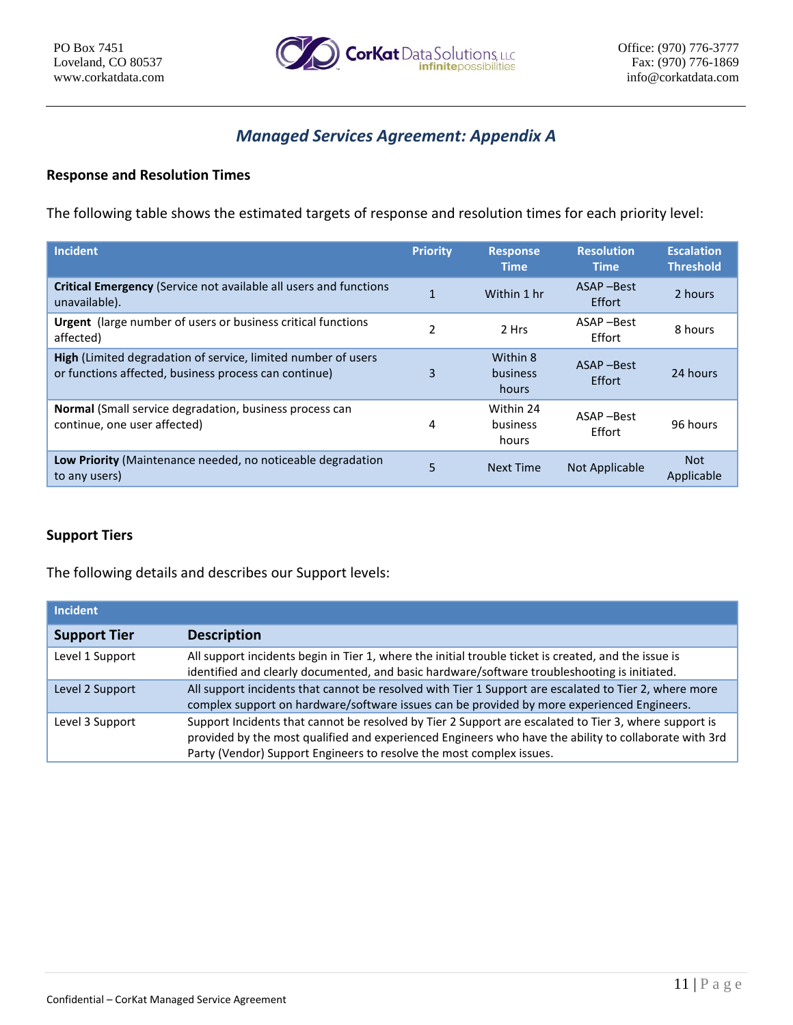

# *Managed Services Agreement: Appendix A*

# **Response and Resolution Times**

The following table shows the estimated targets of response and resolution times for each priority level:

| <b>Incident</b>                                                                                                               | <b>Priority</b> | <b>Response</b><br><b>Time</b> | <b>Resolution</b><br><b>Time</b> | <b>Escalation</b><br><b>Threshold</b> |
|-------------------------------------------------------------------------------------------------------------------------------|-----------------|--------------------------------|----------------------------------|---------------------------------------|
| <b>Critical Emergency</b> (Service not available all users and functions<br>unavailable).                                     |                 | Within 1 hr                    | ASAP-Best<br>Effort              | 2 hours                               |
| <b>Urgent</b> (large number of users or business critical functions<br>affected)                                              | 2               | 2 Hrs                          | ASAP-Best<br>Effort              | 8 hours                               |
| <b>High</b> (Limited degradation of service, limited number of users<br>or functions affected, business process can continue) | 3               | Within 8<br>business<br>hours  | ASAP-Best<br>Effort              | 24 hours                              |
| <b>Normal</b> (Small service degradation, business process can<br>continue, one user affected)                                | 4               | Within 24<br>business<br>hours | ASAP-Best<br>Effort              | 96 hours                              |
| <b>Low Priority</b> (Maintenance needed, no noticeable degradation<br>to any users)                                           | 5               | Next Time                      | Not Applicable                   | <b>Not</b><br>Applicable              |

# **Support Tiers**

The following details and describes our Support levels:

| <b>Incident</b>     |                                                                                                                                                                                                                                                                                        |
|---------------------|----------------------------------------------------------------------------------------------------------------------------------------------------------------------------------------------------------------------------------------------------------------------------------------|
| <b>Support Tier</b> | <b>Description</b>                                                                                                                                                                                                                                                                     |
| Level 1 Support     | All support incidents begin in Tier 1, where the initial trouble ticket is created, and the issue is<br>identified and clearly documented, and basic hardware/software troubleshooting is initiated.                                                                                   |
| Level 2 Support     | All support incidents that cannot be resolved with Tier 1 Support are escalated to Tier 2, where more<br>complex support on hardware/software issues can be provided by more experienced Engineers.                                                                                    |
| Level 3 Support     | Support Incidents that cannot be resolved by Tier 2 Support are escalated to Tier 3, where support is<br>provided by the most qualified and experienced Engineers who have the ability to collaborate with 3rd<br>Party (Vendor) Support Engineers to resolve the most complex issues. |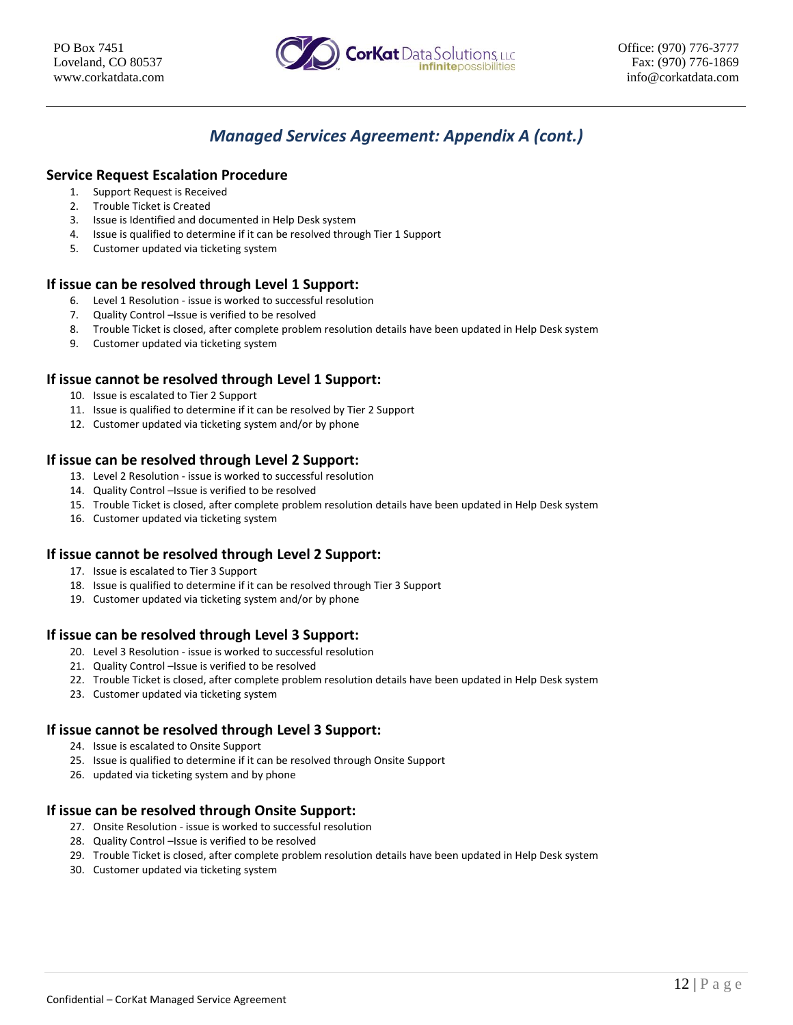

# *Managed Services Agreement: Appendix A (cont.)*

# **Service Request Escalation Procedure**

- 1. Support Request is Received
- 2. Trouble Ticket is Created
- 3. Issue is Identified and documented in Help Desk system
- 4. Issue is qualified to determine if it can be resolved through Tier 1 Support
- 5. Customer updated via ticketing system

# **If issue can be resolved through Level 1 Support:**

- 6. Level 1 Resolution issue is worked to successful resolution
- 7. Quality Control –Issue is verified to be resolved
- 8. Trouble Ticket is closed, after complete problem resolution details have been updated in Help Desk system
- 9. Customer updated via ticketing system

# **If issue cannot be resolved through Level 1 Support:**

- 10. Issue is escalated to Tier 2 Support
- 11. Issue is qualified to determine if it can be resolved by Tier 2 Support
- 12. Customer updated via ticketing system and/or by phone

# **If issue can be resolved through Level 2 Support:**

- 13. Level 2 Resolution issue is worked to successful resolution
- 14. Quality Control –Issue is verified to be resolved
- 15. Trouble Ticket is closed, after complete problem resolution details have been updated in Help Desk system
- 16. Customer updated via ticketing system

### **If issue cannot be resolved through Level 2 Support:**

- 17. Issue is escalated to Tier 3 Support
- 18. Issue is qualified to determine if it can be resolved through Tier 3 Support
- 19. Customer updated via ticketing system and/or by phone

### **If issue can be resolved through Level 3 Support:**

- 20. Level 3 Resolution issue is worked to successful resolution
- 21. Quality Control –Issue is verified to be resolved
- 22. Trouble Ticket is closed, after complete problem resolution details have been updated in Help Desk system
- 23. Customer updated via ticketing system

### **If issue cannot be resolved through Level 3 Support:**

- 24. Issue is escalated to Onsite Support
- 25. Issue is qualified to determine if it can be resolved through Onsite Support
- 26. updated via ticketing system and by phone

# **If issue can be resolved through Onsite Support:**

- 27. Onsite Resolution issue is worked to successful resolution
- 28. Quality Control –Issue is verified to be resolved
- 29. Trouble Ticket is closed, after complete problem resolution details have been updated in Help Desk system
- 30. Customer updated via ticketing system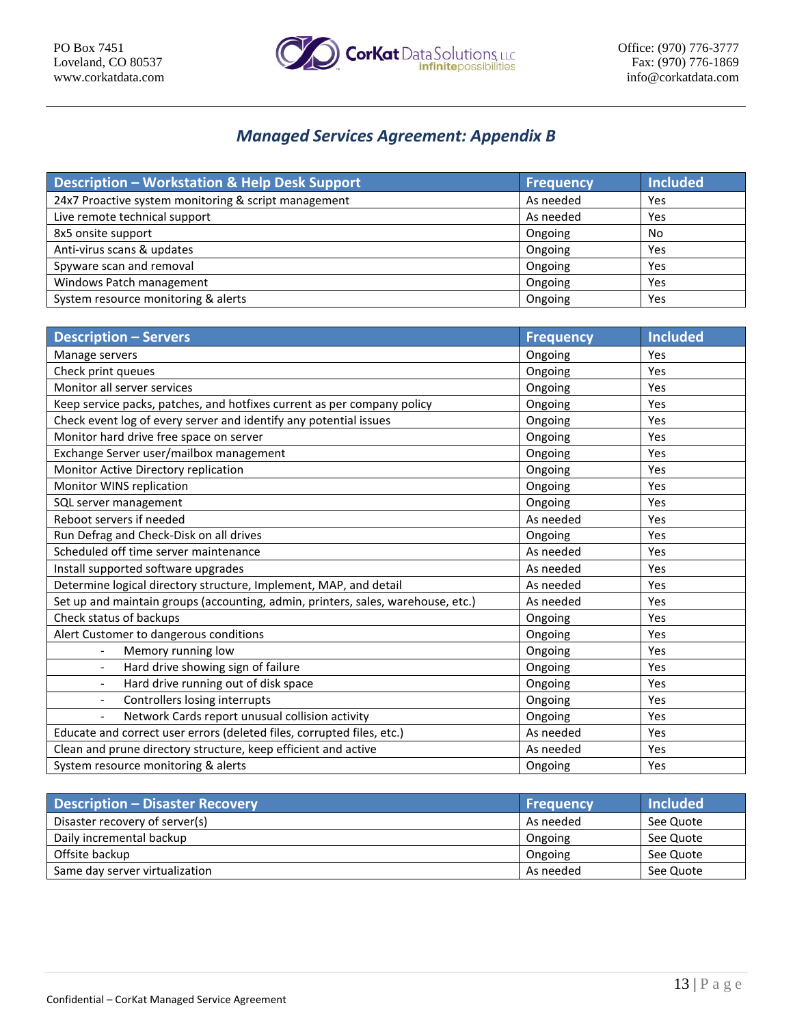

# *Managed Services Agreement: Appendix B*

| <b>Description - Workstation &amp; Help Desk Support</b> | <b>Frequency</b> | <b>Included</b> |
|----------------------------------------------------------|------------------|-----------------|
| 24x7 Proactive system monitoring & script management     | As needed        | Yes             |
| Live remote technical support                            | As needed        | Yes             |
| 8x5 onsite support                                       | Ongoing          | No              |
| Anti-virus scans & updates                               | Ongoing          | Yes             |
| Spyware scan and removal                                 | Ongoing          | Yes             |
| Windows Patch management                                 | Ongoing          | Yes             |
| System resource monitoring & alerts                      | Ongoing          | Yes             |

| <b>Description - Servers</b>                                                     | <b>Frequency</b> | <b>Included</b> |
|----------------------------------------------------------------------------------|------------------|-----------------|
| Manage servers                                                                   | Ongoing          | Yes             |
| Check print queues                                                               | Ongoing          | Yes             |
| Monitor all server services                                                      | Ongoing          | Yes             |
| Keep service packs, patches, and hotfixes current as per company policy          | Ongoing          | Yes             |
| Check event log of every server and identify any potential issues                | Ongoing          | Yes             |
| Monitor hard drive free space on server                                          | Ongoing          | Yes             |
| Exchange Server user/mailbox management                                          | Ongoing          | Yes             |
| Monitor Active Directory replication                                             | Ongoing          | Yes             |
| Monitor WINS replication                                                         | Ongoing          | Yes             |
| SQL server management                                                            | Ongoing          | Yes             |
| Reboot servers if needed                                                         | As needed        | Yes             |
| Run Defrag and Check-Disk on all drives                                          | Ongoing          | Yes             |
| Scheduled off time server maintenance                                            | As needed        | Yes             |
| Install supported software upgrades                                              | As needed        | Yes             |
| Determine logical directory structure, Implement, MAP, and detail                | As needed        | Yes             |
| Set up and maintain groups (accounting, admin, printers, sales, warehouse, etc.) | As needed        | Yes             |
| Check status of backups                                                          | Ongoing          | Yes             |
| Alert Customer to dangerous conditions                                           | Ongoing          | Yes             |
| Memory running low<br>$\blacksquare$                                             | Ongoing          | Yes             |
| Hard drive showing sign of failure                                               | Ongoing          | Yes             |
| Hard drive running out of disk space<br>$\overline{\phantom{a}}$                 | Ongoing          | Yes             |
| Controllers losing interrupts<br>$\overline{\phantom{a}}$                        | Ongoing          | Yes             |
| Network Cards report unusual collision activity<br>$\frac{1}{2}$                 | Ongoing          | Yes             |
| Educate and correct user errors (deleted files, corrupted files, etc.)           | As needed        | Yes             |
| Clean and prune directory structure, keep efficient and active                   | As needed        | Yes             |
| System resource monitoring & alerts                                              | Ongoing          | Yes             |

| <b>Description - Disaster Recovery</b> | <b>Frequency</b> | <b>Included</b> |
|----------------------------------------|------------------|-----------------|
| Disaster recovery of server(s)         | As needed        | See Quote       |
| Daily incremental backup               | Ongoing          | See Quote       |
| Offsite backup                         | Ongoing          | See Quote       |
| Same day server virtualization         | As needed        | See Quote       |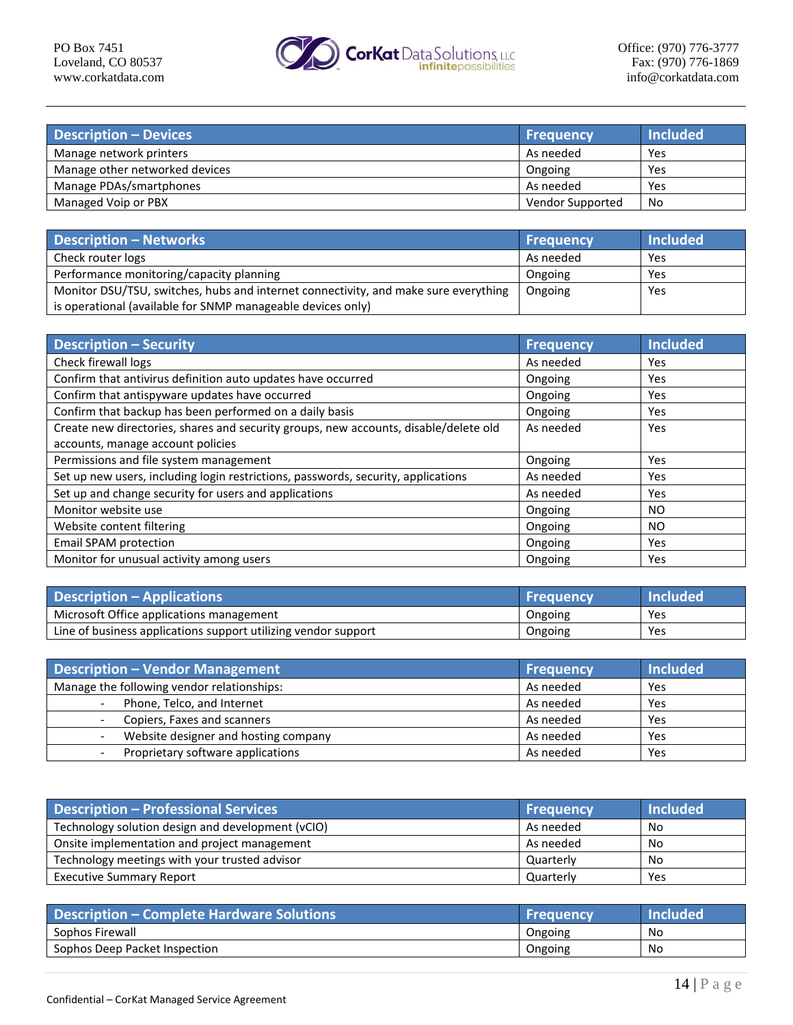

| <b>Description - Devices</b>   | <b>Frequency</b> | Included |
|--------------------------------|------------------|----------|
| Manage network printers        | As needed        | Yes      |
| Manage other networked devices | Ongoing          | Yes      |
| Manage PDAs/smartphones        | As needed        | Yes      |
| Managed Voip or PBX            | Vendor Supported | No       |

| <b>Description - Networks</b>                                                       | <b>Frequency</b> | Included |
|-------------------------------------------------------------------------------------|------------------|----------|
| Check router logs                                                                   | As needed        | Yes      |
| Performance monitoring/capacity planning                                            | Ongoing          | Yes      |
| Monitor DSU/TSU, switches, hubs and internet connectivity, and make sure everything | Ongoing          | Yes      |
| is operational (available for SNMP manageable devices only)                         |                  |          |

| <b>Description - Security</b>                                                        | <b>Frequency</b> | <b>Included</b> |
|--------------------------------------------------------------------------------------|------------------|-----------------|
| Check firewall logs                                                                  | As needed        | Yes.            |
| Confirm that antivirus definition auto updates have occurred                         | Ongoing          | Yes             |
| Confirm that antispyware updates have occurred                                       | Ongoing          | Yes             |
| Confirm that backup has been performed on a daily basis                              | Ongoing          | Yes             |
| Create new directories, shares and security groups, new accounts, disable/delete old | As needed        | Yes             |
| accounts, manage account policies                                                    |                  |                 |
| Permissions and file system management                                               | Ongoing          | Yes             |
| Set up new users, including login restrictions, passwords, security, applications    | As needed        | Yes.            |
| Set up and change security for users and applications                                | As needed        | Yes             |
| Monitor website use                                                                  | Ongoing          | NO.             |
| Website content filtering                                                            | Ongoing          | NO.             |
| <b>Email SPAM protection</b>                                                         | Ongoing          | Yes             |
| Monitor for unusual activity among users                                             | Ongoing          | Yes             |

| <b>Description - Applications</b>                              | <b>Frequency</b> | lncluded' |
|----------------------------------------------------------------|------------------|-----------|
| Microsoft Office applications management                       | Ongoing          | Yes       |
| Line of business applications support utilizing vendor support | Ongoing          | Yes       |

| <b>Description - Vendor Management</b>                        | <b>Frequency</b> | <b>Included</b> |
|---------------------------------------------------------------|------------------|-----------------|
| Manage the following vendor relationships:                    | As needed        | Yes             |
| Phone, Telco, and Internet<br>$\overline{\phantom{0}}$        | As needed        | Yes             |
| Copiers, Faxes and scanners                                   | As needed        | Yes             |
| Website designer and hosting company                          | As needed        | Yes             |
| Proprietary software applications<br>$\overline{\phantom{0}}$ | As needed        | Yes             |

| <b>Description - Professional Services</b>        | <b>Frequency</b> | Included <sup>1</sup> |
|---------------------------------------------------|------------------|-----------------------|
| Technology solution design and development (vCIO) | As needed        | No                    |
| Onsite implementation and project management      | As needed        | No                    |
| Technology meetings with your trusted advisor     | Quarterly        | No                    |
| <b>Executive Summary Report</b>                   | Quarterly        | Yes                   |

| <b>Description – Complete Hardware Solutions</b> | <b>Frequency</b> | <b>Included</b> |
|--------------------------------------------------|------------------|-----------------|
| Sophos Firewall                                  | Ongoing          | No              |
| Sophos Deep Packet Inspection                    | Ongoing          | No              |